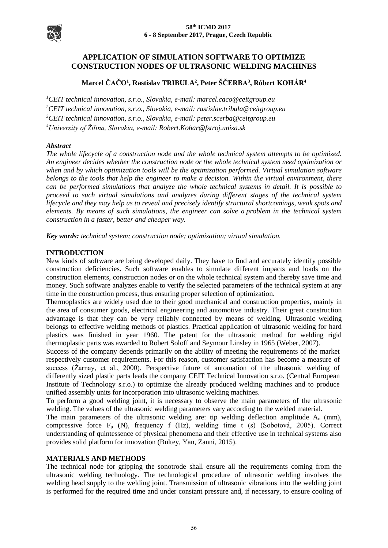

# **APPLICATION OF SIMULATION SOFTWARE TO OPTIMIZE CONSTRUCTION NODES OF ULTRASONIC WELDING MACHINES**

# **Marcel ČAČO<sup>1</sup> , Rastislav TRIBULA<sup>2</sup> , Peter ŠČERBA<sup>3</sup> , Róbert KOHÁR<sup>4</sup>**

*CEIT technical innovation, s.r.o., Slovakia, e-mail: marcel.caco@ceitgroup.eu CEIT technical innovation, s.r.o., Slovakia, e-mail: rastislav.tribula@ceitgroup.eu CEIT technical innovation, s.r.o., Slovakia, e-mail: peter.scerba@ceitgroup.eu University of Žilina, Slovakia, e-mail: Robert.Kohar@fstroj.uniza.sk*

# *Abstract*

*The whole lifecycle of a construction node and the whole technical system attempts to be optimized. An engineer decides whether the construction node or the whole technical system need optimization or when and by which optimization tools will be the optimization performed. Virtual simulation software belongs to the tools that help the engineer to make a decision. Within the virtual environment, there can be performed simulations that analyze the whole technical systems in detail. It is possible to proceed to such virtual simulations and analyzes during different stages of the technical system lifecycle and they may help us to reveal and precisely identify structural shortcomings, weak spots and elements. By means of such simulations, the engineer can solve a problem in the technical system construction in a faster, better and cheaper way.* 

*Key words: technical system; construction node; optimization; virtual simulation.*

# **INTRODUCTION**

New kinds of software are being developed daily. They have to find and accurately identify possible construction deficiencies. Such software enables to simulate different impacts and loads on the construction elements, construction nodes or on the whole technical system and thereby save time and money. Such software analyzes enable to verify the selected parameters of the technical system at any time in the construction process, thus ensuring proper selection of optimization.

Thermoplastics are widely used due to their good mechanical and construction properties, mainly in the area of consumer goods, electrical engineering and automotive industry. Their great construction advantage is that they can be very reliably connected by means of welding. Ultrasonic welding belongs to effective welding methods of plastics. Practical application of ultrasonic welding for hard plastics was finished in year 1960. The patent for the ultrasonic method for welding rigid thermoplastic parts was awarded to Robert Soloff and Seymour Linsley in 1965 (Weber, 2007).

Success of the company depends primarily on the ability of meeting the requirements of the market respectively customer requirements. For this reason, customer satisfaction has become a measure of success (Žarnay, et al., 2000). Perspective future of automation of the ultrasonic welding of differently sized plastic parts leads the company CEIT Technical Innovation s.r.o. (Central European Institute of Technology s.r.o.) to optimize the already produced welding machines and to produce unified assembly units for incorporation into ultrasonic welding machines.

To perform a good welding joint, it is necessary to observe the main parameters of the ultrasonic welding. The values of the ultrasonic welding parameters vary according to the welded material.

The main parameters of the ultrasonic welding are: tip welding deflection amplitude A<sup>o</sup> (mm), compressive force  $F_p$  (N), frequency f (Hz), welding time t (s) (Sobotová, 2005). Correct understanding of quintessence of physical phenomena and their effective use in technical systems also provides solid platform for innovation (Bultey, Yan, Zanni, 2015).

# **MATERIALS AND METHODS**

The technical node for gripping the sonotrode shall ensure all the requirements coming from the ultrasonic welding technology. The technological procedure of ultrasonic welding involves the welding head supply to the welding joint. Transmission of ultrasonic vibrations into the welding joint is performed for the required time and under constant pressure and, if necessary, to ensure cooling of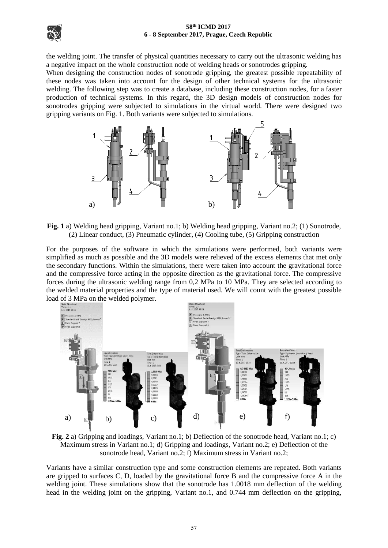

### **58th ICMD 2017 6 - 8 September 2017, Prague, Czech Republic**

the welding joint. The transfer of physical quantities necessary to carry out the ultrasonic welding has a negative impact on the whole construction node of welding heads or sonotrodes gripping.

When designing the construction nodes of sonotrode gripping, the greatest possible repeatability of these nodes was taken into account for the design of other technical systems for the ultrasonic welding. The following step was to create a database, including these construction nodes, for a faster production of technical systems. In this regard, the 3D design models of construction nodes for sonotrodes gripping were subjected to simulations in the virtual world. There were designed two gripping variants on Fig. 1. Both variants were subjected to simulations.





For the purposes of the software in which the simulations were performed, both variants were simplified as much as possible and the 3D models were relieved of the excess elements that met only the secondary functions. Within the simulations, there were taken into account the gravitational force and the compressive force acting in the opposite direction as the gravitational force. The compressive forces during the ultrasonic welding range from 0,2 MPa to 10 MPa. They are selected according to the welded material properties and the type of material used. We will count with the greatest possible load of 3 MPa on the welded polymer.



**Fig. 2** a) Gripping and loadings, Variant no.1; b) Deflection of the sonotrode head, Variant no.1; c) Maximum stress in Variant no.1; d) Gripping and loadings, Variant no.2; e) Deflection of the sonotrode head, Variant no.2; f) Maximum stress in Variant no.2;

Variants have a similar construction type and some construction elements are repeated. Both variants are gripped to surfaces C, D, loaded by the gravitational force B and the compressive force A in the welding joint. These simulations show that the sonotrode has 1.0018 mm deflection of the welding head in the welding joint on the gripping, Variant no.1, and 0.744 mm deflection on the gripping,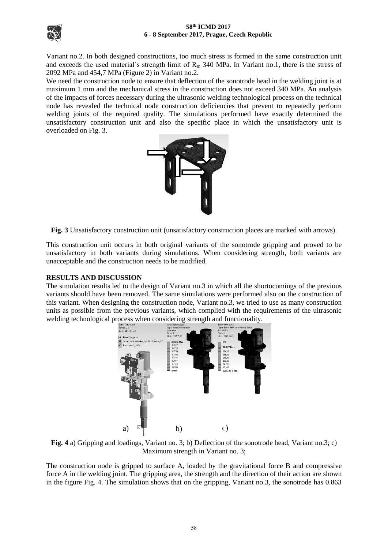



Variant no.2. In both designed constructions, too much stress is formed in the same construction unit and exceeds the used material's strength limit of  $R<sub>m</sub>$  340 MPa. In Variant no.1, there is the stress of 2092 MPa and 454,7 MPa (Figure 2) in Variant no.2.

We need the construction node to ensure that deflection of the sonotrode head in the welding joint is at maximum 1 mm and the mechanical stress in the construction does not exceed 340 MPa. An analysis of the impacts of forces necessary during the ultrasonic welding technological process on the technical node has revealed the technical node construction deficiencies that prevent to repeatedly perform welding joints of the required quality. The simulations performed have exactly determined the unsatisfactory construction unit and also the specific place in which the unsatisfactory unit is overloaded on Fig. 3.



**Fig. 3** Unsatisfactory construction unit (unsatisfactory construction places are marked with arrows).

This construction unit occurs in both original variants of the sonotrode gripping and proved to be unsatisfactory in both variants during simulations. When considering strength, both variants are unacceptable and the construction needs to be modified.

## **RESULTS AND DISCUSSION**

The simulation results led to the design of Variant no.3 in which all the shortocomings of the previous variants should have been removed. The same simulations were performed also on the construction of this variant. When designing the construction node, Variant no.3, we tried to use as many construction units as possible from the previous variants, which complied with the requirements of the ultrasonic welding technological process when considering strength and functionality.



**Fig. 4** a) Gripping and loadings, Variant no. 3; b) Deflection of the sonotrode head, Variant no.3; c) Maximum strength in Variant no. 3;

The construction node is gripped to surface A, loaded by the gravitational force B and compressive force A in the welding joint. The gripping area, the strength and the direction of their action are shown in the figure Fig. 4. The simulation shows that on the gripping, Variant no.3, the sonotrode has 0.863